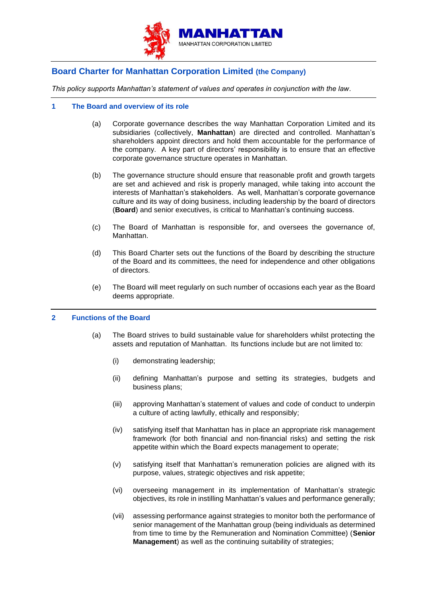

# **Board Charter for Manhattan Corporation Limited (the Company)**

*This policy supports Manhattan's statement of values and operates in conjunction with the law.*

# **1 The Board and overview of its role**

- (a) Corporate governance describes the way Manhattan Corporation Limited and its subsidiaries (collectively, **Manhattan**) are directed and controlled. Manhattan's shareholders appoint directors and hold them accountable for the performance of the company. A key part of directors' responsibility is to ensure that an effective corporate governance structure operates in Manhattan.
- (b) The governance structure should ensure that reasonable profit and growth targets are set and achieved and risk is properly managed, while taking into account the interests of Manhattan's stakeholders. As well, Manhattan's corporate governance culture and its way of doing business, including leadership by the board of directors (**Board**) and senior executives, is critical to Manhattan's continuing success.
- (c) The Board of Manhattan is responsible for, and oversees the governance of, Manhattan.
- (d) This Board Charter sets out the functions of the Board by describing the structure of the Board and its committees, the need for independence and other obligations of directors.
- (e) The Board will meet regularly on such number of occasions each year as the Board deems appropriate.

# **2 Functions of the Board**

- (a) The Board strives to build sustainable value for shareholders whilst protecting the assets and reputation of Manhattan. Its functions include but are not limited to:
	- (i) demonstrating leadership;
	- (ii) defining Manhattan's purpose and setting its strategies, budgets and business plans;
	- (iii) approving Manhattan's statement of values and code of conduct to underpin a culture of acting lawfully, ethically and responsibly;
	- (iv) satisfying itself that Manhattan has in place an appropriate risk management framework (for both financial and non-financial risks) and setting the risk appetite within which the Board expects management to operate;
	- (v) satisfying itself that Manhattan's remuneration policies are aligned with its purpose, values, strategic objectives and risk appetite;
	- (vi) overseeing management in its implementation of Manhattan's strategic objectives, its role in instilling Manhattan's values and performance generally;
	- (vii) assessing performance against strategies to monitor both the performance of senior management of the Manhattan group (being individuals as determined from time to time by the Remuneration and Nomination Committee) (**Senior Management**) as well as the continuing suitability of strategies;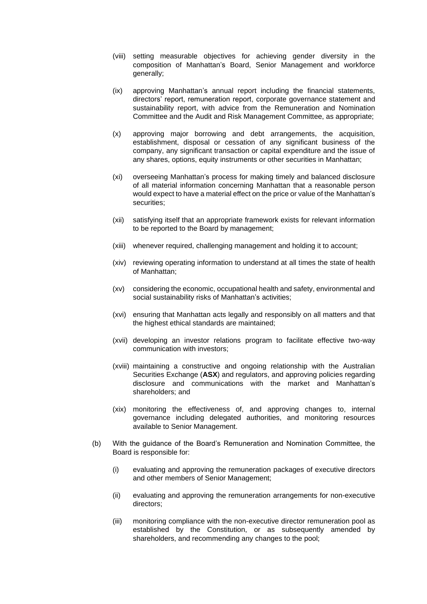- (viii) setting measurable objectives for achieving gender diversity in the composition of Manhattan's Board, Senior Management and workforce generally;
- (ix) approving Manhattan's annual report including the financial statements, directors' report, remuneration report, corporate governance statement and sustainability report, with advice from the Remuneration and Nomination Committee and the Audit and Risk Management Committee, as appropriate;
- (x) approving major borrowing and debt arrangements, the acquisition, establishment, disposal or cessation of any significant business of the company, any significant transaction or capital expenditure and the issue of any shares, options, equity instruments or other securities in Manhattan;
- (xi) overseeing Manhattan's process for making timely and balanced disclosure of all material information concerning Manhattan that a reasonable person would expect to have a material effect on the price or value of the Manhattan's securities;
- (xii) satisfying itself that an appropriate framework exists for relevant information to be reported to the Board by management;
- (xiii) whenever required, challenging management and holding it to account;
- (xiv) reviewing operating information to understand at all times the state of health of Manhattan;
- (xv) considering the economic, occupational health and safety, environmental and social sustainability risks of Manhattan's activities;
- (xvi) ensuring that Manhattan acts legally and responsibly on all matters and that the highest ethical standards are maintained;
- (xvii) developing an investor relations program to facilitate effective two-way communication with investors;
- (xviii) maintaining a constructive and ongoing relationship with the Australian Securities Exchange (**ASX**) and regulators, and approving policies regarding disclosure and communications with the market and Manhattan's shareholders; and
- (xix) monitoring the effectiveness of, and approving changes to, internal governance including delegated authorities, and monitoring resources available to Senior Management.
- (b) With the guidance of the Board's Remuneration and Nomination Committee, the Board is responsible for:
	- (i) evaluating and approving the remuneration packages of executive directors and other members of Senior Management;
	- (ii) evaluating and approving the remuneration arrangements for non-executive directors;
	- (iii) monitoring compliance with the non-executive director remuneration pool as established by the Constitution, or as subsequently amended by shareholders, and recommending any changes to the pool;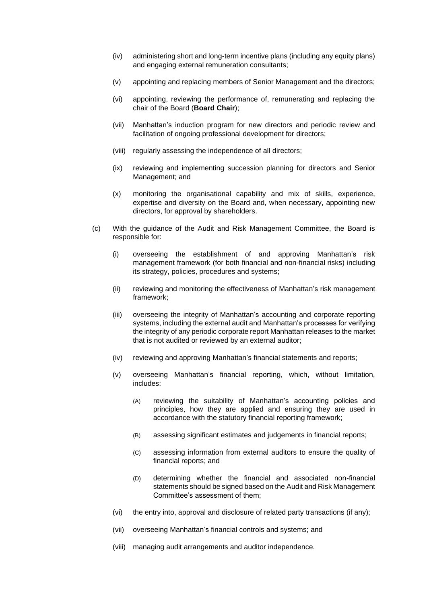- (iv) administering short and long-term incentive plans (including any equity plans) and engaging external remuneration consultants;
- (v) appointing and replacing members of Senior Management and the directors;
- (vi) appointing, reviewing the performance of, remunerating and replacing the chair of the Board (**Board Chair**);
- (vii) Manhattan's induction program for new directors and periodic review and facilitation of ongoing professional development for directors;
- (viii) regularly assessing the independence of all directors;
- (ix) reviewing and implementing succession planning for directors and Senior Management; and
- (x) monitoring the organisational capability and mix of skills, experience, expertise and diversity on the Board and, when necessary, appointing new directors, for approval by shareholders.
- (c) With the guidance of the Audit and Risk Management Committee, the Board is responsible for:
	- (i) overseeing the establishment of and approving Manhattan's risk management framework (for both financial and non-financial risks) including its strategy, policies, procedures and systems;
	- (ii) reviewing and monitoring the effectiveness of Manhattan's risk management framework;
	- (iii) overseeing the integrity of Manhattan's accounting and corporate reporting systems, including the external audit and Manhattan's processes for verifying the integrity of any periodic corporate report Manhattan releases to the market that is not audited or reviewed by an external auditor;
	- (iv) reviewing and approving Manhattan's financial statements and reports;
	- (v) overseeing Manhattan's financial reporting, which, without limitation, includes:
		- (A) reviewing the suitability of Manhattan's accounting policies and principles, how they are applied and ensuring they are used in accordance with the statutory financial reporting framework;
		- (B) assessing significant estimates and judgements in financial reports;
		- (C) assessing information from external auditors to ensure the quality of financial reports; and
		- (D) determining whether the financial and associated non-financial statements should be signed based on the Audit and Risk Management Committee's assessment of them;
	- (vi) the entry into, approval and disclosure of related party transactions (if any);
	- (vii) overseeing Manhattan's financial controls and systems; and
	- (viii) managing audit arrangements and auditor independence.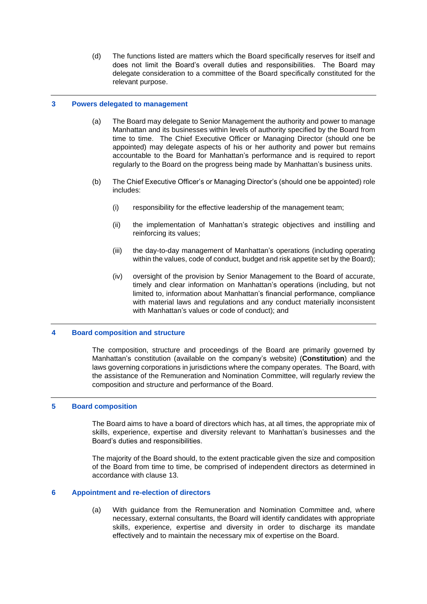(d) The functions listed are matters which the Board specifically reserves for itself and does not limit the Board's overall duties and responsibilities. The Board may delegate consideration to a committee of the Board specifically constituted for the relevant purpose.

#### **3 Powers delegated to management**

- (a) The Board may delegate to Senior Management the authority and power to manage Manhattan and its businesses within levels of authority specified by the Board from time to time. The Chief Executive Officer or Managing Director (should one be appointed) may delegate aspects of his or her authority and power but remains accountable to the Board for Manhattan's performance and is required to report regularly to the Board on the progress being made by Manhattan's business units.
- (b) The Chief Executive Officer's or Managing Director's (should one be appointed) role includes:
	- (i) responsibility for the effective leadership of the management team;
	- (ii) the implementation of Manhattan's strategic objectives and instilling and reinforcing its values;
	- (iii) the day-to-day management of Manhattan's operations (including operating within the values, code of conduct, budget and risk appetite set by the Board);
	- (iv) oversight of the provision by Senior Management to the Board of accurate, timely and clear information on Manhattan's operations (including, but not limited to, information about Manhattan's financial performance, compliance with material laws and regulations and any conduct materially inconsistent with Manhattan's values or code of conduct); and

#### **4 Board composition and structure**

The composition, structure and proceedings of the Board are primarily governed by Manhattan's constitution (available on the company's website) (**Constitution**) and the laws governing corporations in jurisdictions where the company operates. The Board, with the assistance of the Remuneration and Nomination Committee, will regularly review the composition and structure and performance of the Board.

# **5 Board composition**

The Board aims to have a board of directors which has, at all times, the appropriate mix of skills, experience, expertise and diversity relevant to Manhattan's businesses and the Board's duties and responsibilities.

The majority of the Board should, to the extent practicable given the size and composition of the Board from time to time, be comprised of independent directors as determined in accordance with clause [13.](#page-6-0)

## **6 Appointment and re-election of directors**

(a) With guidance from the Remuneration and Nomination Committee and, where necessary, external consultants, the Board will identify candidates with appropriate skills, experience, expertise and diversity in order to discharge its mandate effectively and to maintain the necessary mix of expertise on the Board.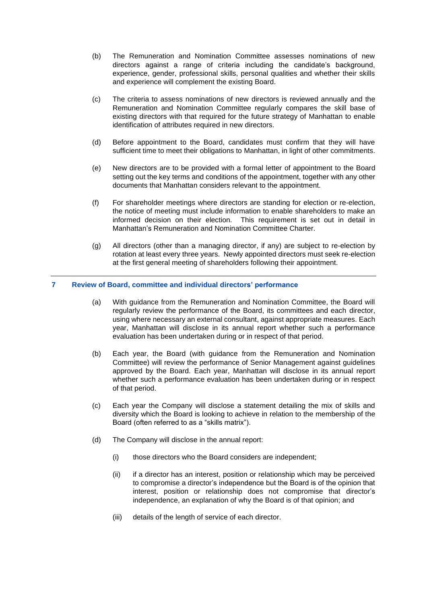- (b) The Remuneration and Nomination Committee assesses nominations of new directors against a range of criteria including the candidate's background, experience, gender, professional skills, personal qualities and whether their skills and experience will complement the existing Board.
- (c) The criteria to assess nominations of new directors is reviewed annually and the Remuneration and Nomination Committee regularly compares the skill base of existing directors with that required for the future strategy of Manhattan to enable identification of attributes required in new directors.
- (d) Before appointment to the Board, candidates must confirm that they will have sufficient time to meet their obligations to Manhattan, in light of other commitments.
- (e) New directors are to be provided with a formal letter of appointment to the Board setting out the key terms and conditions of the appointment, together with any other documents that Manhattan considers relevant to the appointment.
- (f) For shareholder meetings where directors are standing for election or re-election, the notice of meeting must include information to enable shareholders to make an informed decision on their election. This requirement is set out in detail in Manhattan's Remuneration and Nomination Committee Charter.
- (g) All directors (other than a managing director, if any) are subject to re-election by rotation at least every three years. Newly appointed directors must seek re-election at the first general meeting of shareholders following their appointment.

# **7 Review of Board, committee and individual directors' performance**

- (a) With guidance from the Remuneration and Nomination Committee, the Board will regularly review the performance of the Board, its committees and each director, using where necessary an external consultant, against appropriate measures. Each year, Manhattan will disclose in its annual report whether such a performance evaluation has been undertaken during or in respect of that period.
- (b) Each year, the Board (with guidance from the Remuneration and Nomination Committee) will review the performance of Senior Management against guidelines approved by the Board. Each year, Manhattan will disclose in its annual report whether such a performance evaluation has been undertaken during or in respect of that period.
- (c) Each year the Company will disclose a statement detailing the mix of skills and diversity which the Board is looking to achieve in relation to the membership of the Board (often referred to as a "skills matrix").
- (d) The Company will disclose in the annual report:
	- (i) those directors who the Board considers are independent;
	- (ii) if a director has an interest, position or relationship which may be perceived to compromise a director's independence but the Board is of the opinion that interest, position or relationship does not compromise that director's independence, an explanation of why the Board is of that opinion; and
	- (iii) details of the length of service of each director.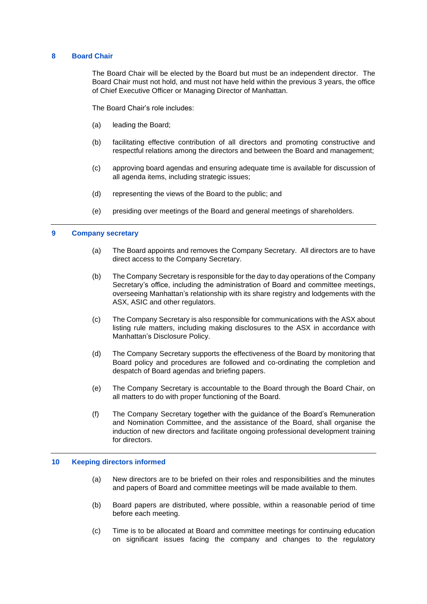#### **8 Board Chair**

The Board Chair will be elected by the Board but must be an independent director. The Board Chair must not hold, and must not have held within the previous 3 years, the office of Chief Executive Officer or Managing Director of Manhattan.

The Board Chair's role includes:

- (a) leading the Board;
- (b) facilitating effective contribution of all directors and promoting constructive and respectful relations among the directors and between the Board and management;
- (c) approving board agendas and ensuring adequate time is available for discussion of all agenda items, including strategic issues;
- (d) representing the views of the Board to the public; and
- (e) presiding over meetings of the Board and general meetings of shareholders.

# **9 Company secretary**

- (a) The Board appoints and removes the Company Secretary. All directors are to have direct access to the Company Secretary.
- (b) The Company Secretary is responsible for the day to day operations of the Company Secretary's office, including the administration of Board and committee meetings, overseeing Manhattan's relationship with its share registry and lodgements with the ASX, ASIC and other regulators.
- (c) The Company Secretary is also responsible for communications with the ASX about listing rule matters, including making disclosures to the ASX in accordance with Manhattan's Disclosure Policy.
- (d) The Company Secretary supports the effectiveness of the Board by monitoring that Board policy and procedures are followed and co-ordinating the completion and despatch of Board agendas and briefing papers.
- (e) The Company Secretary is accountable to the Board through the Board Chair, on all matters to do with proper functioning of the Board.
- (f) The Company Secretary together with the guidance of the Board's Remuneration and Nomination Committee, and the assistance of the Board, shall organise the induction of new directors and facilitate ongoing professional development training for directors.

#### **10 Keeping directors informed**

- (a) New directors are to be briefed on their roles and responsibilities and the minutes and papers of Board and committee meetings will be made available to them.
- (b) Board papers are distributed, where possible, within a reasonable period of time before each meeting.
- (c) Time is to be allocated at Board and committee meetings for continuing education on significant issues facing the company and changes to the regulatory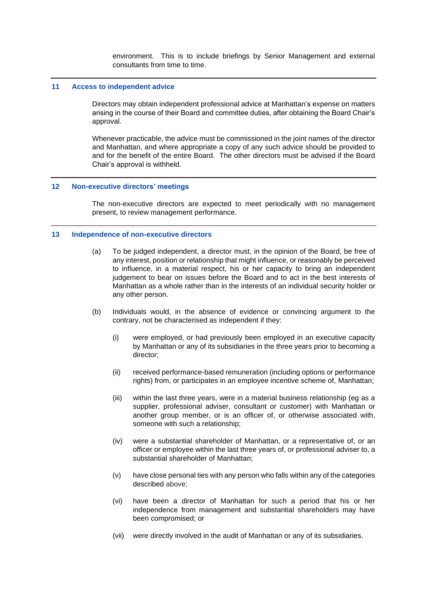environment. This is to include briefings by Senior Management and external consultants from time to time.

#### **11 Access to independent advice**

Directors may obtain independent professional advice at Manhattan's expense on matters arising in the course of their Board and committee duties, after obtaining the Board Chair's approval.

Whenever practicable, the advice must be commissioned in the joint names of the director and Manhattan, and where appropriate a copy of any such advice should be provided to and for the benefit of the entire Board. The other directors must be advised if the Board Chair's approval is withheld.

#### **12 Non-executive directors' meetings**

The non-executive directors are expected to meet periodically with no management present, to review management performance.

#### <span id="page-6-0"></span>**13 Independence of non-executive directors**

- (a) To be judged independent, a director must, in the opinion of the Board, be free of any interest, position or relationship that might influence, or reasonably be perceived to influence, in a material respect, his or her capacity to bring an independent judgement to bear on issues before the Board and to act in the best interests of Manhattan as a whole rather than in the interests of an individual security holder or any other person.
- <span id="page-6-1"></span>(b) Individuals would, in the absence of evidence or convincing argument to the contrary, not be characterised as independent if they:
	- (i) were employed, or had previously been employed in an executive capacity by Manhattan or any of its subsidiaries in the three years prior to becoming a director;
	- (ii) received performance-based remuneration (including options or performance rights) from, or participates in an employee incentive scheme of, Manhattan;
	- (iii) within the last three years, were in a material business relationship (eg as a supplier, professional adviser, consultant or customer) with Manhattan or another group member, or is an officer of, or otherwise associated with, someone with such a relationship;
	- (iv) were a substantial shareholder of Manhattan, or a representative of, or an officer or employee within the last three years of, or professional adviser to, a substantial shareholder of Manhattan;
	- (v) have close personal ties with any person who falls within any of the categories described above;
	- (vi) have been a director of Manhattan for such a period that his or her independence from management and substantial shareholders may have been compromised; or
	- (vii) were directly involved in the audit of Manhattan or any of its subsidiaries.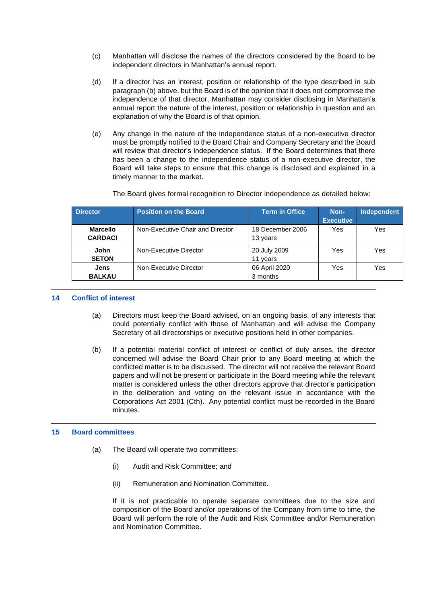- (c) Manhattan will disclose the names of the directors considered by the Board to be independent directors in Manhattan's annual report.
- (d) If a director has an interest, position or relationship of the type described in sub paragraph [\(b\)](#page-6-1) above, but the Board is of the opinion that it does not compromise the independence of that director, Manhattan may consider disclosing in Manhattan's annual report the nature of the interest, position or relationship in question and an explanation of why the Board is of that opinion.
- (e) Any change in the nature of the independence status of a non-executive director must be promptly notified to the Board Chair and Company Secretary and the Board will review that director's independence status. If the Board determines that there has been a change to the independence status of a non-executive director, the Board will take steps to ensure that this change is disclosed and explained in a timely manner to the market.

The Board gives formal recognition to Director independence as detailed below:

| <b>Director</b> | <b>Position on the Board</b>     | <b>Term in Office</b> | Non-             | Independent |
|-----------------|----------------------------------|-----------------------|------------------|-------------|
|                 |                                  |                       | <b>Executive</b> |             |
| <b>Marcello</b> | Non-Executive Chair and Director | 18 December 2006      | Yes              | Yes         |
| <b>CARDACI</b>  |                                  | 13 years              |                  |             |
|                 |                                  |                       |                  |             |
| John            | Non-Executive Director           | 20 July 2009          | Yes              | Yes         |
| <b>SETON</b>    |                                  | 11 years              |                  |             |
| Jens            | Non-Executive Director           | 06 April 2020         | Yes              | Yes         |
| <b>BALKAU</b>   |                                  | 3 months              |                  |             |

## **14 Conflict of interest**

- (a) Directors must keep the Board advised, on an ongoing basis, of any interests that could potentially conflict with those of Manhattan and will advise the Company Secretary of all directorships or executive positions held in other companies.
- (b) If a potential material conflict of interest or conflict of duty arises, the director concerned will advise the Board Chair prior to any Board meeting at which the conflicted matter is to be discussed. The director will not receive the relevant Board papers and will not be present or participate in the Board meeting while the relevant matter is considered unless the other directors approve that director's participation in the deliberation and voting on the relevant issue in accordance with the Corporations Act 2001 (Cth). Any potential conflict must be recorded in the Board minutes.

## **15 Board committees**

- (a) The Board will operate two committees:
	- (i) Audit and Risk Committee; and
	- (ii) Remuneration and Nomination Committee.

If it is not practicable to operate separate committees due to the size and composition of the Board and/or operations of the Company from time to time, the Board will perform the role of the Audit and Risk Committee and/or Remuneration and Nomination Committee.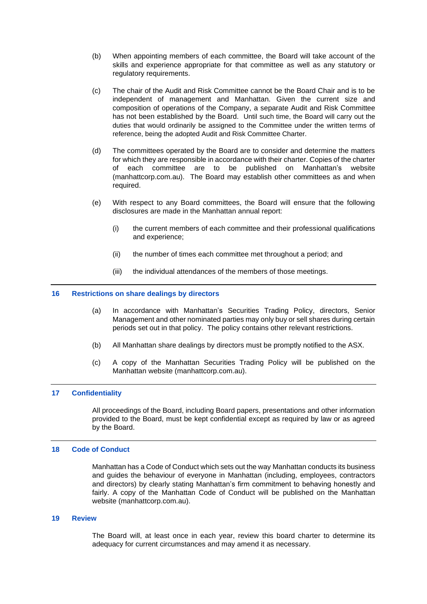- (b) When appointing members of each committee, the Board will take account of the skills and experience appropriate for that committee as well as any statutory or regulatory requirements.
- (c) The chair of the Audit and Risk Committee cannot be the Board Chair and is to be independent of management and Manhattan. Given the current size and composition of operations of the Company, a separate Audit and Risk Committee has not been established by the Board. Until such time, the Board will carry out the duties that would ordinarily be assigned to the Committee under the written terms of reference, being the adopted Audit and Risk Committee Charter.
- (d) The committees operated by the Board are to consider and determine the matters for which they are responsible in accordance with their charter. Copies of the charter of each committee are to be published on Manhattan's website (manhattcorp.com.au). The Board may establish other committees as and when required.
- (e) With respect to any Board committees, the Board will ensure that the following disclosures are made in the Manhattan annual report:
	- (i) the current members of each committee and their professional qualifications and experience;
	- (ii) the number of times each committee met throughout a period; and
	- (iii) the individual attendances of the members of those meetings.

#### **16 Restrictions on share dealings by directors**

- (a) In accordance with Manhattan's Securities Trading Policy, directors, Senior Management and other nominated parties may only buy or sell shares during certain periods set out in that policy. The policy contains other relevant restrictions.
- (b) All Manhattan share dealings by directors must be promptly notified to the ASX.
- (c) A copy of the Manhattan Securities Trading Policy will be published on the Manhattan website (manhattcorp.com.au).

#### **17 Confidentiality**

All proceedings of the Board, including Board papers, presentations and other information provided to the Board, must be kept confidential except as required by law or as agreed by the Board.

#### **18 Code of Conduct**

Manhattan has a Code of Conduct which sets out the way Manhattan conducts its business and guides the behaviour of everyone in Manhattan (including, employees, contractors and directors) by clearly stating Manhattan's firm commitment to behaving honestly and fairly. A copy of the Manhattan Code of Conduct will be published on the Manhattan website (manhattcorp.com.au).

#### **19 Review**

The Board will, at least once in each year, review this board charter to determine its adequacy for current circumstances and may amend it as necessary.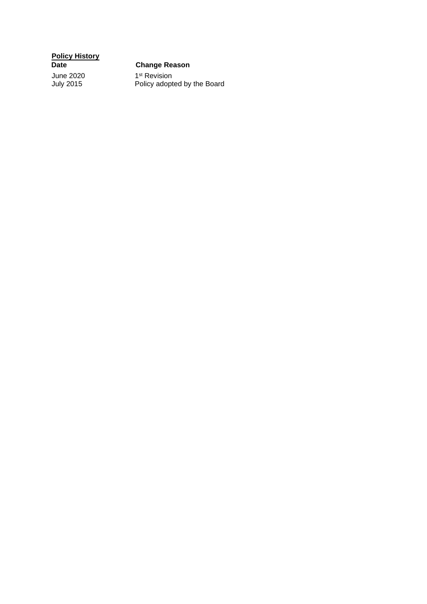**Policy History**

# **Change Reason**

June 2020<br>July 2015

<sup>st</sup> Revision July 2015 Policy adopted by the Board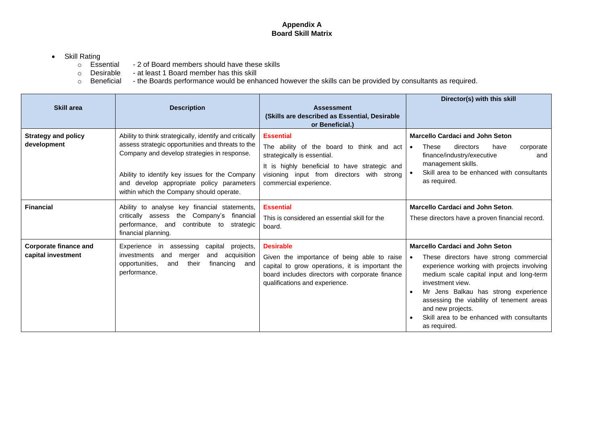# **Appendix A Board Skill Matrix**

# • Skill Rating<br>
o Essential

- $\circ$  Essential 2 of Board members should have these skills  $\circ$  Desirable at least 1 Board member has this skill
- o Desirable at least 1 Board member has this skill o Beneficial the Boards performance would be enh
- o Beneficial the Boards performance would be enhanced however the skills can be provided by consultants as required.

| <b>Skill area</b>                                  | <b>Description</b>                                                                                                                                                                                                                                                                                     | <b>Assessment</b><br>(Skills are described as Essential, Desirable<br>or Beneficial.)                                                                                                                                 | Director(s) with this skill                                                                                                                                                                                                                                                                                                                                            |
|----------------------------------------------------|--------------------------------------------------------------------------------------------------------------------------------------------------------------------------------------------------------------------------------------------------------------------------------------------------------|-----------------------------------------------------------------------------------------------------------------------------------------------------------------------------------------------------------------------|------------------------------------------------------------------------------------------------------------------------------------------------------------------------------------------------------------------------------------------------------------------------------------------------------------------------------------------------------------------------|
| <b>Strategy and policy</b><br>development          | Ability to think strategically, identify and critically<br>assess strategic opportunities and threats to the<br>Company and develop strategies in response.<br>Ability to identify key issues for the Company<br>and develop appropriate policy parameters<br>within which the Company should operate. | <b>Essential</b><br>The ability of the board to think and act<br>strategically is essential.<br>It is highly beneficial to have strategic and<br>visioning input from directors with strong<br>commercial experience. | <b>Marcello Cardaci and John Seton</b><br>These<br>directors<br>have<br>corporate<br>$\bullet$<br>finance/industry/executive<br>and<br>management skills.<br>Skill area to be enhanced with consultants<br>as required.                                                                                                                                                |
| <b>Financial</b>                                   | Ability to analyse key financial statements,<br>critically assess the Company's financial<br>performance, and contribute to strategic<br>financial planning.                                                                                                                                           | <b>Essential</b><br>This is considered an essential skill for the<br>board.                                                                                                                                           | <b>Marcello Cardaci and John Seton.</b><br>These directors have a proven financial record.                                                                                                                                                                                                                                                                             |
| <b>Corporate finance and</b><br>capital investment | Experience<br>assessing capital<br>projects,<br>in<br>and<br>acquisition<br>investments<br>and<br>merger<br>their<br>financing and<br>opportunities.<br>and<br>performance.                                                                                                                            | <b>Desirable</b><br>Given the importance of being able to raise<br>capital to grow operations, it is important the<br>board includes directors with corporate finance<br>qualifications and experience.               | <b>Marcello Cardaci and John Seton</b><br>These directors have strong commercial<br>experience working with projects involving<br>medium scale capital input and long-term<br>investment view.<br>Mr Jens Balkau has strong experience<br>assessing the viability of tenement areas<br>and new projects.<br>Skill area to be enhanced with consultants<br>as required. |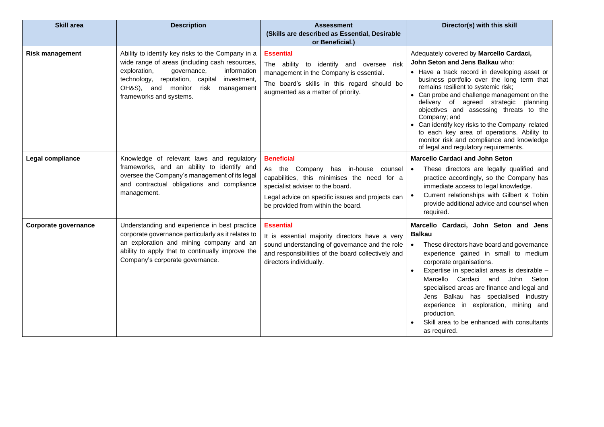| <b>Skill area</b>      | <b>Description</b>                                                                                                                                                                                                                                                         | <b>Assessment</b><br>(Skills are described as Essential, Desirable<br>or Beneficial.)                                                                                                                                                 | Director(s) with this skill                                                                                                                                                                                                                                                                                                                                                                                                                                                                                                                               |
|------------------------|----------------------------------------------------------------------------------------------------------------------------------------------------------------------------------------------------------------------------------------------------------------------------|---------------------------------------------------------------------------------------------------------------------------------------------------------------------------------------------------------------------------------------|-----------------------------------------------------------------------------------------------------------------------------------------------------------------------------------------------------------------------------------------------------------------------------------------------------------------------------------------------------------------------------------------------------------------------------------------------------------------------------------------------------------------------------------------------------------|
| <b>Risk management</b> | Ability to identify key risks to the Company in a<br>wide range of areas (including cash resources,<br>exploration,<br>governance,<br>information<br>technology, reputation, capital<br>investment,<br>OH&S), and monitor<br>risk<br>management<br>frameworks and systems. | <b>Essential</b><br>The ability to identify and oversee risk<br>management in the Company is essential.<br>The board's skills in this regard should be<br>augmented as a matter of priority.                                          | Adequately covered by Marcello Cardaci,<br>John Seton and Jens Balkau who:<br>• Have a track record in developing asset or<br>business portfolio over the long term that<br>remains resilient to systemic risk;<br>• Can probe and challenge management on the<br>delivery of agreed strategic planning<br>objectives and assessing threats to the<br>Company; and<br>• Can identify key risks to the Company related<br>to each key area of operations. Ability to<br>monitor risk and compliance and knowledge<br>of legal and regulatory requirements. |
| Legal compliance       | Knowledge of relevant laws and regulatory<br>frameworks, and an ability to identify and<br>oversee the Company's management of its legal<br>and contractual obligations and compliance<br>management.                                                                      | <b>Beneficial</b><br>As the Company has in-house counsel<br>capabilities, this minimises the need for a<br>specialist adviser to the board.<br>Legal advice on specific issues and projects can<br>be provided from within the board. | <b>Marcello Cardaci and John Seton</b><br>These directors are legally qualified and<br>practice accordingly, so the Company has<br>immediate access to legal knowledge.<br>Current relationships with Gilbert & Tobin<br>provide additional advice and counsel when<br>required.                                                                                                                                                                                                                                                                          |
| Corporate governance   | Understanding and experience in best practice<br>corporate governance particularly as it relates to<br>an exploration and mining company and an<br>ability to apply that to continually improve the<br>Company's corporate governance.                                     | <b>Essential</b><br>It is essential majority directors have a very<br>sound understanding of governance and the role<br>and responsibilities of the board collectively and<br>directors individually.                                 | Marcello Cardaci, John Seton and Jens<br><b>Balkau</b><br>These directors have board and governance<br>experience gained in small to medium<br>corporate organisations.<br>Expertise in specialist areas is desirable -<br>Marcello Cardaci and<br>John Seton<br>specialised areas are finance and legal and<br>Jens Balkau has specialised industry<br>experience in exploration, mining and<br>production.<br>Skill area to be enhanced with consultants<br>as required.                                                                                |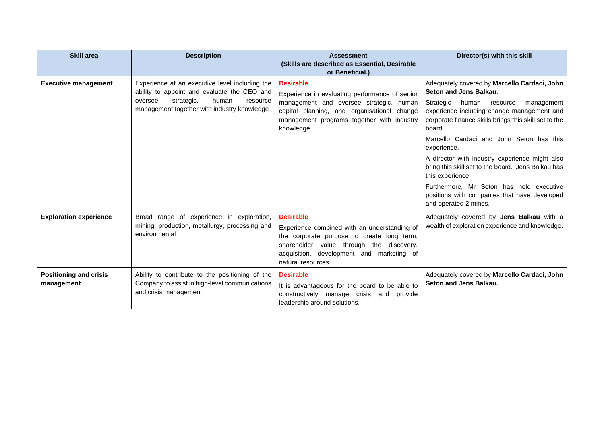| <b>Skill area</b>                           | <b>Description</b>                                                                                                                                                                         | <b>Assessment</b><br>(Skills are described as Essential, Desirable<br>or Beneficial.)                                                                                                                                         | Director(s) with this skill                                                                                                                                                                                                                                                                                                                                                                                                                                                                                                                         |
|---------------------------------------------|--------------------------------------------------------------------------------------------------------------------------------------------------------------------------------------------|-------------------------------------------------------------------------------------------------------------------------------------------------------------------------------------------------------------------------------|-----------------------------------------------------------------------------------------------------------------------------------------------------------------------------------------------------------------------------------------------------------------------------------------------------------------------------------------------------------------------------------------------------------------------------------------------------------------------------------------------------------------------------------------------------|
| <b>Executive management</b>                 | Experience at an executive level including the<br>ability to appoint and evaluate the CEO and<br>oversee<br>strategic,<br>human<br>resource<br>management together with industry knowledge | <b>Desirable</b><br>Experience in evaluating performance of senior<br>management and oversee strategic, human<br>capital planning, and organisational change<br>management programs together with industry<br>knowledge.      | Adequately covered by Marcello Cardaci, John<br>Seton and Jens Balkau.<br>Strategic<br>human<br>management<br>resource<br>experience including change management and<br>corporate finance skills brings this skill set to the<br>board.<br>Marcello Cardaci and John Seton has this<br>experience.<br>A director with industry experience might also<br>bring this skill set to the board. Jens Balkau has<br>this experience.<br>Furthermore, Mr Seton has held executive<br>positions with companies that have developed<br>and operated 2 mines. |
| <b>Exploration experience</b>               | Broad range of experience in exploration,<br>mining, production, metallurgy, processing and<br>environmental                                                                               | <b>Desirable</b><br>Experience combined with an understanding of<br>the corporate purpose to create long term,<br>shareholder value through the discovery,<br>acquisition, development and marketing of<br>natural resources. | Adequately covered by Jens Balkau with a<br>wealth of exploration experience and knowledge.                                                                                                                                                                                                                                                                                                                                                                                                                                                         |
| <b>Positioning and crisis</b><br>management | Ability to contribute to the positioning of the<br>Company to assist in high-level communications<br>and crisis management.                                                                | <b>Desirable</b><br>It is advantageous for the board to be able to<br>constructively manage crisis and provide<br>leadership around solutions.                                                                                | Adequately covered by Marcello Cardaci, John<br>Seton and Jens Balkau.                                                                                                                                                                                                                                                                                                                                                                                                                                                                              |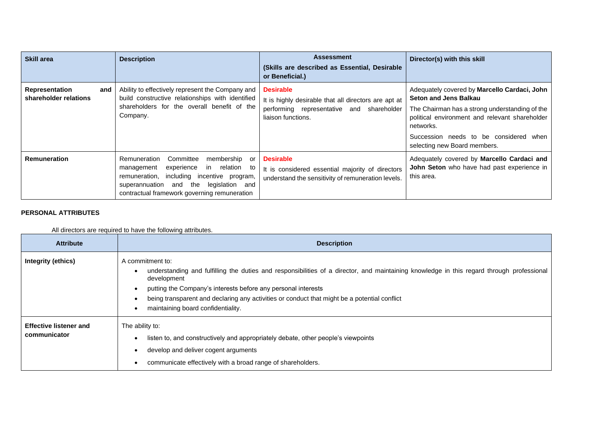| <b>Skill area</b>                       |     | <b>Description</b>                                                                                                                                                                                                                     | <b>Assessment</b><br>(Skills are described as Essential, Desirable<br>or Beneficial.)                                                          | Director(s) with this skill                                                                                                                                                                                                                                             |
|-----------------------------------------|-----|----------------------------------------------------------------------------------------------------------------------------------------------------------------------------------------------------------------------------------------|------------------------------------------------------------------------------------------------------------------------------------------------|-------------------------------------------------------------------------------------------------------------------------------------------------------------------------------------------------------------------------------------------------------------------------|
| Representation<br>shareholder relations | and | Ability to effectively represent the Company and<br>build constructive relationships with identified<br>shareholders for the overall benefit of the<br>Company.                                                                        | <b>Desirable</b><br>It is highly desirable that all directors are apt at<br>performing representative and<br>shareholder<br>liaison functions. | Adequately covered by Marcello Cardaci, John<br><b>Seton and Jens Balkau</b><br>The Chairman has a strong understanding of the<br>political environment and relevant shareholder<br>networks.<br>Succession needs to be considered when<br>selecting new Board members. |
| <b>Remuneration</b>                     |     | Committee<br>membership or<br>Remuneration<br>experience<br>in relation to<br>management<br>remuneration, including incentive program,<br>the<br>legislation and<br>superannuation and<br>contractual framework governing remuneration | <b>Desirable</b><br>It is considered essential majority of directors<br>understand the sensitivity of remuneration levels.                     | Adequately covered by Marcello Cardaci and<br>John Seton who have had past experience in<br>this area.                                                                                                                                                                  |

# **PERSONAL ATTRIBUTES**

# All directors are required to have the following attributes.

| <b>Attribute</b>                              | <b>Description</b>                                                                                                                                                                                                                                                                                                                                                                  |
|-----------------------------------------------|-------------------------------------------------------------------------------------------------------------------------------------------------------------------------------------------------------------------------------------------------------------------------------------------------------------------------------------------------------------------------------------|
| Integrity (ethics)                            | A commitment to:<br>understanding and fulfilling the duties and responsibilities of a director, and maintaining knowledge in this regard through professional<br>development<br>putting the Company's interests before any personal interests<br>being transparent and declaring any activities or conduct that might be a potential conflict<br>maintaining board confidentiality. |
| <b>Effective listener and</b><br>communicator | The ability to:<br>listen to, and constructively and appropriately debate, other people's viewpoints<br>develop and deliver cogent arguments<br>communicate effectively with a broad range of shareholders.                                                                                                                                                                         |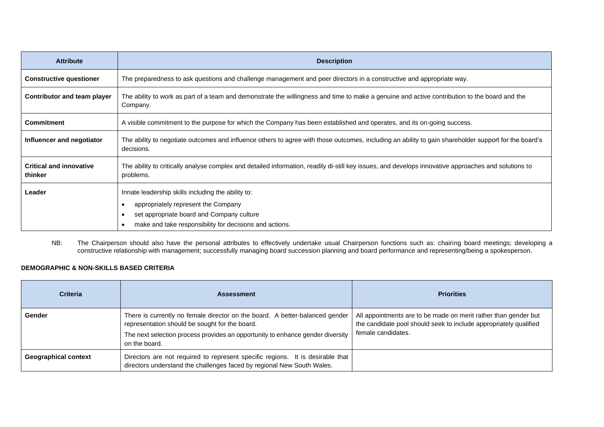| <b>Attribute</b>                          | <b>Description</b>                                                                                                                                                                                     |
|-------------------------------------------|--------------------------------------------------------------------------------------------------------------------------------------------------------------------------------------------------------|
| <b>Constructive questioner</b>            | The preparedness to ask questions and challenge management and peer directors in a constructive and appropriate way.                                                                                   |
| <b>Contributor and team player</b>        | The ability to work as part of a team and demonstrate the willingness and time to make a genuine and active contribution to the board and the<br>Company.                                              |
| <b>Commitment</b>                         | A visible commitment to the purpose for which the Company has been established and operates, and its on-going success.                                                                                 |
| Influencer and negotiator                 | The ability to negotiate outcomes and influence others to agree with those outcomes, including an ability to gain shareholder support for the board's<br>decisions.                                    |
| <b>Critical and innovative</b><br>thinker | The ability to critically analyse complex and detailed information, readily di-still key issues, and develops innovative approaches and solutions to<br>problems.                                      |
| Leader                                    | Innate leadership skills including the ability to:<br>appropriately represent the Company<br>set appropriate board and Company culture<br>make and take responsibility for decisions and actions.<br>٠ |

NB: The Chairperson should also have the personal attributes to effectively undertake usual Chairperson functions such as: chairing board meetings; developing a constructive relationship with management; successfully managing board succession planning and board performance and representing/being a spokesperson.

# **DEMOGRAPHIC & NON-SKILLS BASED CRITERIA**

| <b>Criteria</b>             | <b>Assessment</b>                                                                                                                                                                                                                 | <b>Priorities</b>                                                                                                                                          |
|-----------------------------|-----------------------------------------------------------------------------------------------------------------------------------------------------------------------------------------------------------------------------------|------------------------------------------------------------------------------------------------------------------------------------------------------------|
| <b>Gender</b>               | There is currently no female director on the board. A better-balanced gender<br>representation should be sought for the board.<br>The next selection process provides an opportunity to enhance gender diversity<br>on the board. | All appointments are to be made on merit rather than gender but<br>the candidate pool should seek to include appropriately qualified<br>female candidates. |
| <b>Geographical context</b> | Directors are not required to represent specific regions. It is desirable that<br>directors understand the challenges faced by regional New South Wales.                                                                          |                                                                                                                                                            |